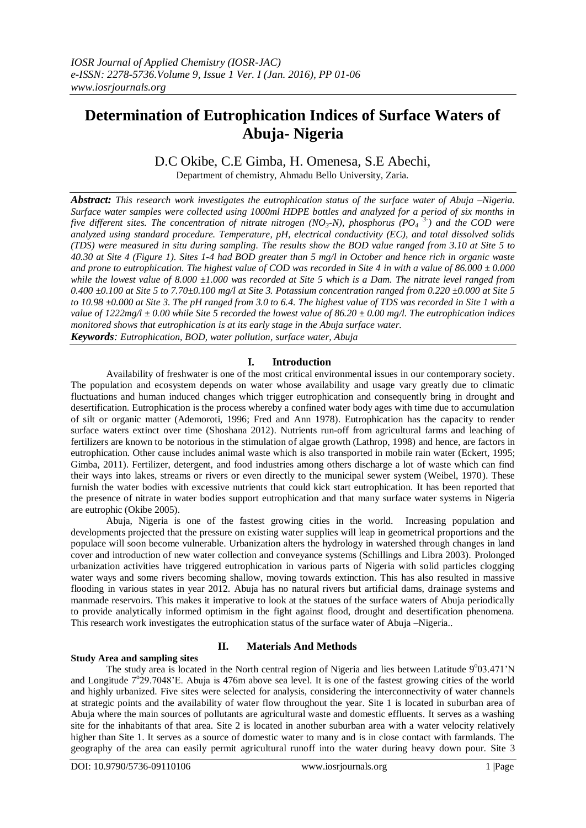# **Determination of Eutrophication Indices of Surface Waters of Abuja- Nigeria**

D.C Okibe, C.E Gimba, H. Omenesa, S.E Abechi, Department of chemistry, Ahmadu Bello University, Zaria.

*Abstract: This research work investigates the eutrophication status of the surface water of Abuja –Nigeria. Surface water samples were collected using 1000ml HDPE bottles and analyzed for a period of six months in five different sites. The concentration of nitrate nitrogen (NO<sub>3</sub>-N), phosphorus (PO<sub>4</sub><sup>-3-</sup>) and the COD were analyzed using standard procedure. Temperature, pH, electrical conductivity (EC), and total dissolved solids (TDS) were measured in situ during sampling. The results show the BOD value ranged from 3.10 at Site 5 to 40.30 at Site 4 (Figure 1). Sites 1-4 had BOD greater than 5 mg/l in October and hence rich in organic waste and prone to eutrophication. The highest value of COD was recorded in Site 4 in with a value of 86.000 ± 0.000 while the lowest value of 8.000 ±1.000 was recorded at Site 5 which is a Dam. The nitrate level ranged from 0.400 ±0.100 at Site 5 to 7.70±0.100 mg/l at Site 3. Potassium concentration ranged from 0.220 ±0.000 at Site 5 to 10.98 ±0.000 at Site 3. The pH ranged from 3.0 to 6.4. The highest value of TDS was recorded in Site 1 with a value of 1222mg/l ± 0.00 while Site 5 recorded the lowest value of 86.20 ± 0.00 mg/l. The eutrophication indices monitored shows that eutrophication is at its early stage in the Abuja surface water.*

*Keywords: Eutrophication, BOD, water pollution, surface water, Abuja*

## **I. Introduction**

Availability of freshwater is one of the most critical environmental issues in our contemporary society. The population and ecosystem depends on water whose availability and usage vary greatly due to climatic fluctuations and human induced changes which trigger eutrophication and consequently bring in drought and desertification. Eutrophication is the process whereby a confined water body ages with time due to accumulation of silt or organic matter (Ademoroti, 1996; Fred and Ann 1978). Eutrophication has the capacity to render surface waters extinct over time (Shoshana 2012). Nutrients run-off from agricultural farms and leaching of fertilizers are known to be notorious in the stimulation of algae growth (Lathrop, 1998) and hence, are factors in eutrophication. Other cause includes animal waste which is also transported in mobile rain water (Eckert, 1995; Gimba, 2011). Fertilizer, detergent, and food industries among others discharge a lot of waste which can find their ways into lakes, streams or rivers or even directly to the municipal sewer system (Weibel, 1970). These furnish the water bodies with excessive nutrients that could kick start eutrophication. It has been reported that the presence of nitrate in water bodies support eutrophication and that many surface water systems in Nigeria are eutrophic (Okibe 2005).

Abuja, Nigeria is one of the fastest growing cities in the world. Increasing population and developments projected that the pressure on existing water supplies will leap in geometrical proportions and the populace will soon become vulnerable. Urbanization alters the hydrology in watershed through changes in land cover and introduction of new water collection and conveyance systems (Schillings and Libra 2003). Prolonged urbanization activities have triggered eutrophication in various parts of Nigeria with solid particles clogging water ways and some rivers becoming shallow, moving towards extinction. This has also resulted in massive flooding in various states in year 2012. Abuja has no natural rivers but artificial dams, drainage systems and manmade reservoirs. This makes it imperative to look at the statues of the surface waters of Abuja periodically to provide analytically informed optimism in the fight against flood, drought and desertification phenomena. This research work investigates the eutrophication status of the surface water of Abuja –Nigeria..

## **Study Area and sampling sites**

### **II. Materials And Methods**

The study area is located in the North central region of Nigeria and lies between Latitude 9°03.471'N and Longitude 7°29.7048'E. Abuja is 476m above sea level. It is one of the fastest growing cities of the world and highly urbanized. Five sites were selected for analysis, considering the interconnectivity of water channels at strategic points and the availability of water flow throughout the year. Site 1 is located in suburban area of Abuja where the main sources of pollutants are agricultural waste and domestic effluents. It serves as a washing site for the inhabitants of that area. Site 2 is located in another suburban area with a water velocity relatively higher than Site 1. It serves as a source of domestic water to many and is in close contact with farmlands. The geography of the area can easily permit agricultural runoff into the water during heavy down pour. Site 3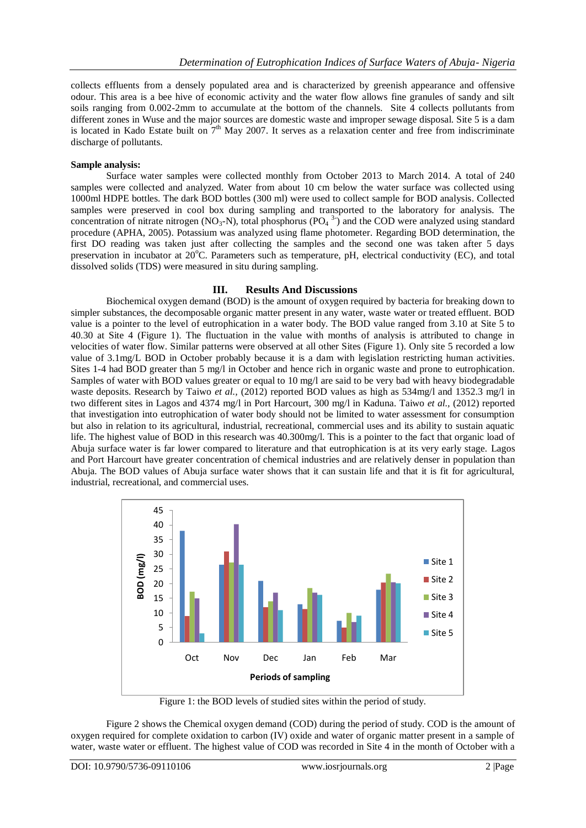collects effluents from a densely populated area and is characterized by greenish appearance and offensive odour. This area is a bee hive of economic activity and the water flow allows fine granules of sandy and silt soils ranging from 0.002-2mm to accumulate at the bottom of the channels. Site 4 collects pollutants from different zones in Wuse and the major sources are domestic waste and improper sewage disposal. Site 5 is a dam is located in Kado Estate built on  $7<sup>th</sup>$  May 2007. It serves as a relaxation center and free from indiscriminate discharge of pollutants.

#### **Sample analysis:**

Surface water samples were collected monthly from October 2013 to March 2014. A total of 240 samples were collected and analyzed. Water from about 10 cm below the water surface was collected using 1000ml HDPE bottles. The dark BOD bottles (300 ml) were used to collect sample for BOD analysis. Collected samples were preserved in cool box during sampling and transported to the laboratory for analysis. The concentration of nitrate nitrogen (NO<sub>3</sub>-N), total phosphorus (PO<sub>4</sub><sup>3-</sup>) and the COD were analyzed using standard procedure (APHA, 2005). Potassium was analyzed using flame photometer. Regarding BOD determination, the first DO reading was taken just after collecting the samples and the second one was taken after 5 days preservation in incubator at  $20^{\circ}$ C. Parameters such as temperature, pH, electrical conductivity (EC), and total dissolved solids (TDS) were measured in situ during sampling.

#### **III. Results And Discussions**

Biochemical oxygen demand (BOD) is the amount of oxygen required by bacteria for breaking down to simpler substances, the decomposable organic matter present in any water, waste water or treated effluent. BOD value is a pointer to the level of eutrophication in a water body. The BOD value ranged from 3.10 at Site 5 to 40.30 at Site 4 (Figure 1). The fluctuation in the value with months of analysis is attributed to change in velocities of water flow. Similar patterns were observed at all other Sites (Figure 1). Only site 5 recorded a low value of 3.1mg/L BOD in October probably because it is a dam with legislation restricting human activities. Sites 1-4 had BOD greater than 5 mg/l in October and hence rich in organic waste and prone to eutrophication. Samples of water with BOD values greater or equal to 10 mg/l are said to be very bad with heavy biodegradable waste deposits. Research by Taiwo *et al.,* (2012) reported BOD values as high as 534mg/l and 1352.3 mg/l in two different sites in Lagos and 4374 mg/l in Port Harcourt, 300 mg/l in Kaduna. Taiwo *et al.,* (2012) reported that investigation into eutrophication of water body should not be limited to water assessment for consumption but also in relation to its agricultural, industrial, recreational, commercial uses and its ability to sustain aquatic life. The highest value of BOD in this research was 40.300mg/l. This is a pointer to the fact that organic load of Abuja surface water is far lower compared to literature and that eutrophication is at its very early stage. Lagos and Port Harcourt have greater concentration of chemical industries and are relatively denser in population than Abuja. The BOD values of Abuja surface water shows that it can sustain life and that it is fit for agricultural, industrial, recreational, and commercial uses.



Figure 1: the BOD levels of studied sites within the period of study.

Figure 2 shows the Chemical oxygen demand (COD) during the period of study. COD is the amount of oxygen required for complete oxidation to carbon (IV) oxide and water of organic matter present in a sample of water, waste water or effluent. The highest value of COD was recorded in Site 4 in the month of October with a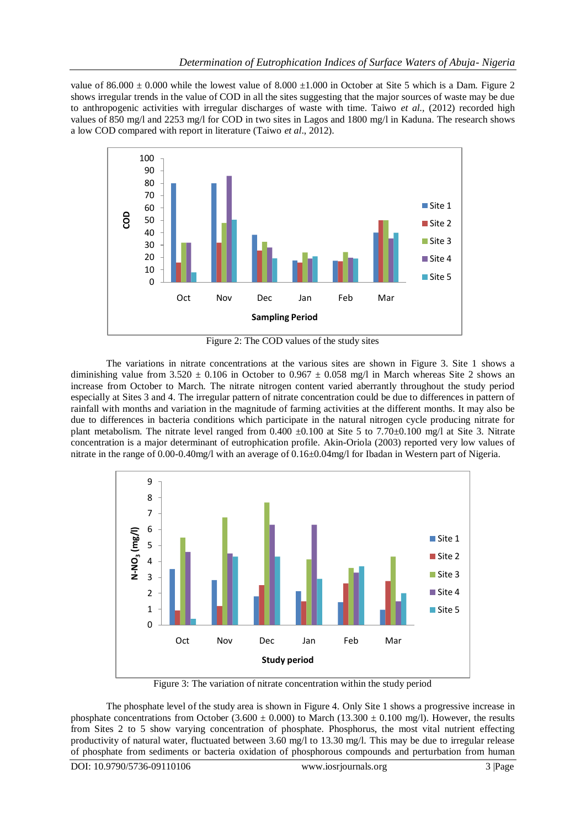value of  $86.000 \pm 0.000$  while the lowest value of  $8.000 \pm 1.000$  in October at Site 5 which is a Dam. Figure 2 shows irregular trends in the value of COD in all the sites suggesting that the major sources of waste may be due to anthropogenic activities with irregular discharges of waste with time. Taiwo *et al.,* (2012) recorded high values of 850 mg/l and 2253 mg/l for COD in two sites in Lagos and 1800 mg/l in Kaduna. The research shows a low COD compared with report in literature (Taiwo *et al*., 2012).



Figure 2: The COD values of the study sites

The variations in nitrate concentrations at the various sites are shown in Figure 3. Site 1 shows a diminishing value from  $3.520 \pm 0.106$  in October to 0.967  $\pm$  0.058 mg/l in March whereas Site 2 shows an increase from October to March. The nitrate nitrogen content varied aberrantly throughout the study period especially at Sites 3 and 4. The irregular pattern of nitrate concentration could be due to differences in pattern of rainfall with months and variation in the magnitude of farming activities at the different months. It may also be due to differences in bacteria conditions which participate in the natural nitrogen cycle producing nitrate for plant metabolism. The nitrate level ranged from  $0.400 \pm 0.100$  at Site 5 to 7.70 $\pm 0.100$  mg/l at Site 3. Nitrate concentration is a major determinant of eutrophication profile. Akin-Oriola (2003) reported very low values of nitrate in the range of 0.00-0.40mg/l with an average of 0.16±0.04mg/l for Ibadan in Western part of Nigeria.



Figure 3: The variation of nitrate concentration within the study period

The phosphate level of the study area is shown in Figure 4. Only Site 1 shows a progressive increase in phosphate concentrations from October (3.600  $\pm$  0.000) to March (13.300  $\pm$  0.100 mg/l). However, the results from Sites 2 to 5 show varying concentration of phosphate. Phosphorus, the most vital nutrient effecting productivity of natural water, fluctuated between 3.60 mg/l to 13.30 mg/l. This may be due to irregular release of phosphate from sediments or bacteria oxidation of phosphorous compounds and perturbation from human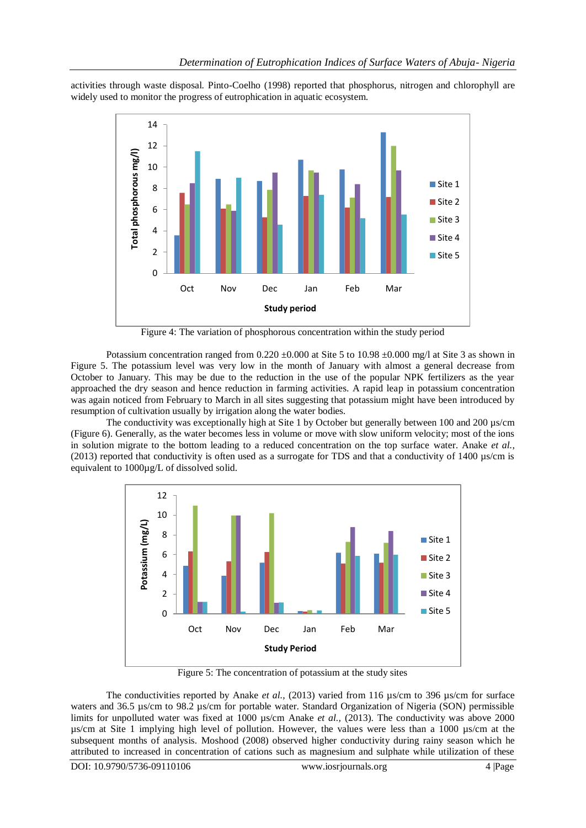activities through waste disposal. Pinto-Coelho (1998) reported that phosphorus, nitrogen and chlorophyll are widely used to monitor the progress of eutrophication in aquatic ecosystem.



Figure 4: The variation of phosphorous concentration within the study period

Potassium concentration ranged from  $0.220 \pm 0.000$  at Site 5 to 10.98  $\pm 0.000$  mg/l at Site 3 as shown in Figure 5. The potassium level was very low in the month of January with almost a general decrease from October to January. This may be due to the reduction in the use of the popular NPK fertilizers as the year approached the dry season and hence reduction in farming activities. A rapid leap in potassium concentration was again noticed from February to March in all sites suggesting that potassium might have been introduced by resumption of cultivation usually by irrigation along the water bodies.

The conductivity was exceptionally high at Site 1 by October but generally between 100 and 200 µs/cm (Figure 6). Generally, as the water becomes less in volume or move with slow uniform velocity; most of the ions in solution migrate to the bottom leading to a reduced concentration on the top surface water. Anake *et al.,*  (2013) reported that conductivity is often used as a surrogate for TDS and that a conductivity of 1400 µs/cm is equivalent to 1000µg/L of dissolved solid.



Figure 5: The concentration of potassium at the study sites

The conductivities reported by Anake *et al.,* (2013) varied from 116 µs/cm to 396 µs/cm for surface waters and 36.5 µs/cm to 98.2 µs/cm for portable water. Standard Organization of Nigeria (SON) permissible limits for unpolluted water was fixed at 1000 µs/cm Anake *et al.,* (2013). The conductivity was above 2000 µs/cm at Site 1 implying high level of pollution. However, the values were less than a 1000 µs/cm at the subsequent months of analysis. Moshood (2008) observed higher conductivity during rainy season which he attributed to increased in concentration of cations such as magnesium and sulphate while utilization of these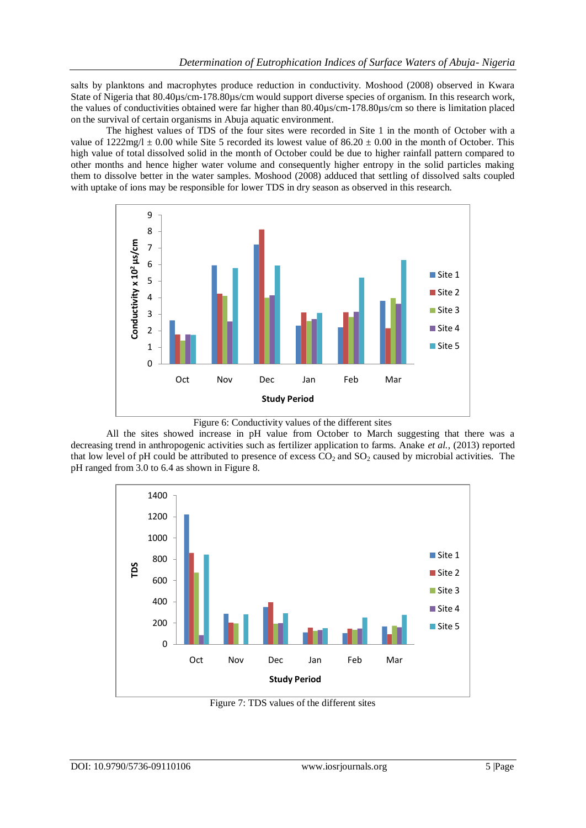salts by planktons and macrophytes produce reduction in conductivity. Moshood (2008) observed in Kwara State of Nigeria that 80.40µs/cm-178.80µs/cm would support diverse species of organism. In this research work, the values of conductivities obtained were far higher than 80.40µs/cm-178.80µs/cm so there is limitation placed on the survival of certain organisms in Abuja aquatic environment.

The highest values of TDS of the four sites were recorded in Site 1 in the month of October with a value of  $1222mg/l \pm 0.00$  while Site 5 recorded its lowest value of  $86.20 \pm 0.00$  in the month of October. This high value of total dissolved solid in the month of October could be due to higher rainfall pattern compared to other months and hence higher water volume and consequently higher entropy in the solid particles making them to dissolve better in the water samples. Moshood (2008) adduced that settling of dissolved salts coupled with uptake of ions may be responsible for lower TDS in dry season as observed in this research.



Figure 6: Conductivity values of the different sites

All the sites showed increase in pH value from October to March suggesting that there was a decreasing trend in anthropogenic activities such as fertilizer application to farms. Anake *et al.,* (2013) reported that low level of pH could be attributed to presence of excess  $CO<sub>2</sub>$  and  $SO<sub>2</sub>$  caused by microbial activities. The pH ranged from 3.0 to 6.4 as shown in Figure 8.



Figure 7: TDS values of the different sites